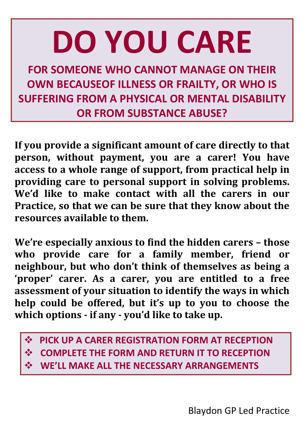# **DO YOU CARE**

**FOR SOMEONE WHO CANNOT MANAGE ON THEIR OWN BECAUSEOF ILLNESS OR FRAILTY, OR WHO IS SUFFERING FROM A PHYSICAL OR MENTAL DISABILITY OR FROM SUBSTANCE ABUSE?**

**If you provide a significant amount of care directly to that person, without payment, you are a carer! You have access to a whole range of support, from practical help in providing care to personal support in solving problems. We'd like to make contact with all the carers in our Practice, so that we can be sure that they know about the resources available to them.**

**We're especially anxious to find the hidden carers – those who provide care for a family member, friend or neighbour, but who don't think of themselves as being a 'proper' carer. As a carer, you are entitled to a free assessment of your situation to identify the ways in which help could be offered, but it's up to you to choose the which options - if any - you'd like to take up.**

- **PICK UP A CARER REGISTRATION FORM AT RECEPTION**
- **COMPLETE THE FORM AND RETURN IT TO RECEPTION**
- **WE'LL MAKE ALL THE NECESSARY ARRANGEMENTS**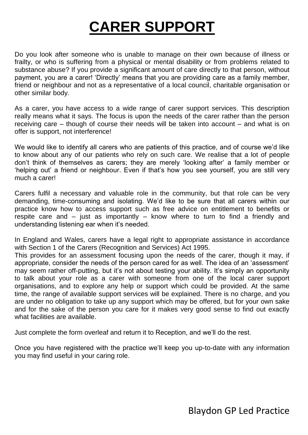# **CARER SUPPORT**

Do you look after someone who is unable to manage on their own because of illness or frailty, or who is suffering from a physical or mental disability or from problems related to substance abuse? If you provide a significant amount of care directly to that person, without payment, you are a carer! 'Directly' means that you are providing care as a family member, friend or neighbour and not as a representative of a local council, charitable organisation or other similar body.

As a carer, you have access to a wide range of carer support services. This description really means what it says. The focus is upon the needs of the carer rather than the person receiving care – though of course their needs will be taken into account – and what is on offer is support, not interference!

We would like to identify all carers who are patients of this practice, and of course we'd like to know about any of our patients who rely on such care. We realise that a lot of people don't think of themselves as carers; they are merely 'looking after' a family member or 'helping out' a friend or neighbour. Even if that's how you see yourself, you are still very much a carer!

Carers fulfil a necessary and valuable role in the community, but that role can be very demanding, time-consuming and isolating. We'd like to be sure that all carers within our practice know how to access support such as free advice on entitlement to benefits or respite care and – just as importantly – know where to turn to find a friendly and understanding listening ear when it's needed.

In England and Wales, carers have a legal right to appropriate assistance in accordance with Section 1 of the Carers (Recognition and Services) Act 1995.

This provides for an assessment focusing upon the needs of the carer, though it may, if appropriate, consider the needs of the person cared for as well. The idea of an 'assessment' may seem rather off-putting, but it's not about testing your ability. It's simply an opportunity to talk about your role as a carer with someone from one of the local carer support organisations, and to explore any help or support which could be provided. At the same time, the range of available support services will be explained. There is no charge, and you are under no obligation to take up any support which may be offered, but for your own sake and for the sake of the person you care for it makes very good sense to find out exactly what facilities are available.

Just complete the form overleaf and return it to Reception, and we'll do the rest.

Once you have registered with the practice we'll keep you up-to-date with any information you may find useful in your caring role.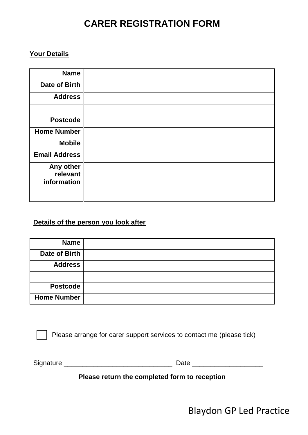# **CARER REGISTRATION FORM**

### **Your Details**

| <b>Name</b>           |  |
|-----------------------|--|
| <b>Date of Birth</b>  |  |
| <b>Address</b>        |  |
|                       |  |
| <b>Postcode</b>       |  |
| <b>Home Number</b>    |  |
| <b>Mobile</b>         |  |
| <b>Email Address</b>  |  |
| Any other<br>relevant |  |
| information           |  |

### **Details of the person you look after**

| <b>Name</b>        |  |
|--------------------|--|
| Date of Birth      |  |
| <b>Address</b>     |  |
|                    |  |
| Postcode           |  |
| <b>Home Number</b> |  |

Please arrange for carer support services to contact me (please tick)

Signature \_\_\_\_\_\_\_\_\_\_\_\_\_\_\_\_\_\_\_\_\_\_\_\_\_\_\_\_\_ Date \_\_\_\_\_\_\_\_\_\_\_\_\_\_\_\_\_\_\_

**Please return the completed form to reception**

Blaydon GP Led Practice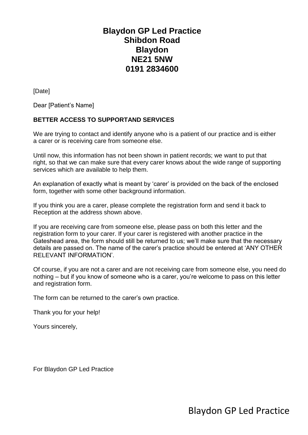# **Blaydon GP Led Practice Shibdon Road Blaydon NE21 5NW 0191 2834600**

[Date]

Dear [Patient's Name]

#### **BETTER ACCESS TO SUPPORTAND SERVICES**

We are trying to contact and identify anyone who is a patient of our practice and is either a carer or is receiving care from someone else.

Until now, this information has not been shown in patient records; we want to put that right, so that we can make sure that every carer knows about the wide range of supporting services which are available to help them.

An explanation of exactly what is meant by 'carer' is provided on the back of the enclosed form, together with some other background information.

If you think you are a carer, please complete the registration form and send it back to Reception at the address shown above.

If you are receiving care from someone else, please pass on both this letter and the registration form to your carer. If your carer is registered with another practice in the Gateshead area, the form should still be returned to us; we'll make sure that the necessary details are passed on. The name of the carer's practice should be entered at 'ANY OTHER RELEVANT INFORMATION'.

Of course, if you are not a carer and are not receiving care from someone else, you need do nothing – but if you know of someone who is a carer, you're welcome to pass on this letter and registration form.

The form can be returned to the carer's own practice.

Thank you for your help!

Yours sincerely,

For Blaydon GP Led Practice

Blaydon GP Led Practice